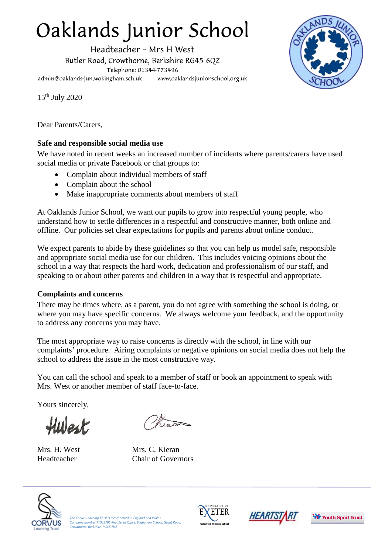# Oaklands Junior School

Headteacher - Mrs H West Butler Road, Crowthorne, Berkshire RG45 6QZ Telephone: 01344-773496 admin@oaklands-jun.wokingham.sch.uk www.oaklandsjunior-school.org.uk



15th July 2020

Dear Parents/Carers,

# **Safe and responsible social media use**

We have noted in recent weeks an increased number of incidents where parents/carers have used social media or private Facebook or chat groups to:

- Complain about individual members of staff
- Complain about the school
- Make inappropriate comments about members of staff

At Oaklands Junior School, we want our pupils to grow into respectful young people, who understand how to settle differences in a respectful and constructive manner, both online and offline. Our policies set clear expectations for pupils and parents about online conduct.

We expect parents to abide by these guidelines so that you can help us model safe, responsible and appropriate social media use for our children. This includes voicing opinions about the school in a way that respects the hard work, dedication and professionalism of our staff, and speaking to or about other parents and children in a way that is respectful and appropriate.

# **Complaints and concerns**

There may be times where, as a parent, you do not agree with something the school is doing, or where you may have specific concerns. We always welcome your feedback, and the opportunity to address any concerns you may have.

The most appropriate way to raise concerns is directly with the school, in line with our complaints' procedure. Airing complaints or negative opinions on social media does not help the school to address the issue in the most constructive way.

You can call the school and speak to a member of staff or book an appointment to speak with Mrs. West or another member of staff face-to-face.

Yours sincerely,

Hulest.



Mrs. H. West Mrs. C. Kieran Headteacher Chair of Governors



*The Corvus Learning Trust is incorporated in England and Wales Company number 11045796 Registered Office: Edgbarrow School, Grant Road, Crowthorne, Berkshire, RG45 7HZ*